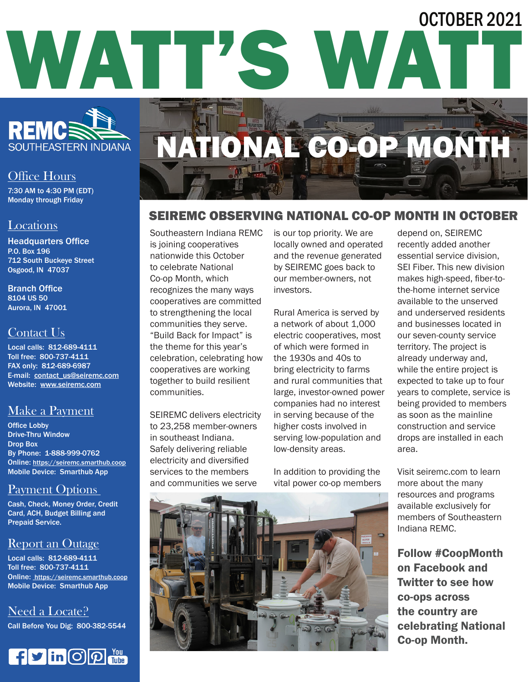## WATT'S WAT OCTOBER 2021



## Office Hours

7:30 AM to 4:30 PM (EDT) Monday through Friday

#### Locations

Headquarters Office P.O. Box 196 712 South Buckeye Street Osgood, IN 47037

Branch Office 8104 US 50 Aurora, IN 47001

## Contact Us

Local calls: 812-689-4111 Toll free: 800-737-4111 FAX only: 812-689-6987 E-mail: contact\_us@seiremc.com Website: www.seiremc.com

## Make a Payment

Office Lobby Drive-Thru Window Drop Box By Phone: 1-888-999-0762 Online: https://seiremc.smarthub.coop Mobile Device: Smarthub App

## Payment Options

Cash, Check, Money Order, Credit Card, ACH, Budget Billing and Prepaid Service.

## Report an Outage

Local calls: 812-689-4111 Toll free: 800-737-4111 Online: https://seiremc.smarthub.coop Mobile Device: Smarthub App

Need a Locate? Call Before You Dig: 800-382-5544



# NATIONAL CO-OP MONTH

## SEIREMC OBSERVING NATIONAL CO-OP MONTH IN OCTOBER

Southeastern Indiana REMC is joining cooperatives nationwide this October to celebrate National Co-op Month, which recognizes the many ways cooperatives are committed to strengthening the local communities they serve. "Build Back for Impact" is the theme for this year's celebration, celebrating how cooperatives are working together to build resilient communities.

SEIREMC delivers electricity to 23,258 member-owners in southeast Indiana. Safely delivering reliable electricity and diversified services to the members and communities we serve

is our top priority. We are locally owned and operated and the revenue generated by SEIREMC goes back to our member-owners, not investors.

Rural America is served by a network of about 1,000 electric cooperatives, most of which were formed in the 1930s and 40s to bring electricity to farms and rural communities that large, investor-owned power companies had no interest in serving because of the higher costs involved in serving low-population and low-density areas.

In addition to providing the vital power co-op members depend on, SEIREMC recently added another essential service division, SEI Fiber. This new division makes high-speed, fiber-tothe-home internet service available to the unserved and underserved residents and businesses located in our seven-county service territory. The project is already underway and, while the entire project is expected to take up to four years to complete, service is being provided to members as soon as the mainline construction and service drops are installed in each area.

Visit seiremc.com to learn more about the many resources and programs available exclusively for members of Southeastern Indiana REMC.

Follow #CoopMonth on Facebook and Twitter to see how co-ops across the country are celebrating National Co-op Month.